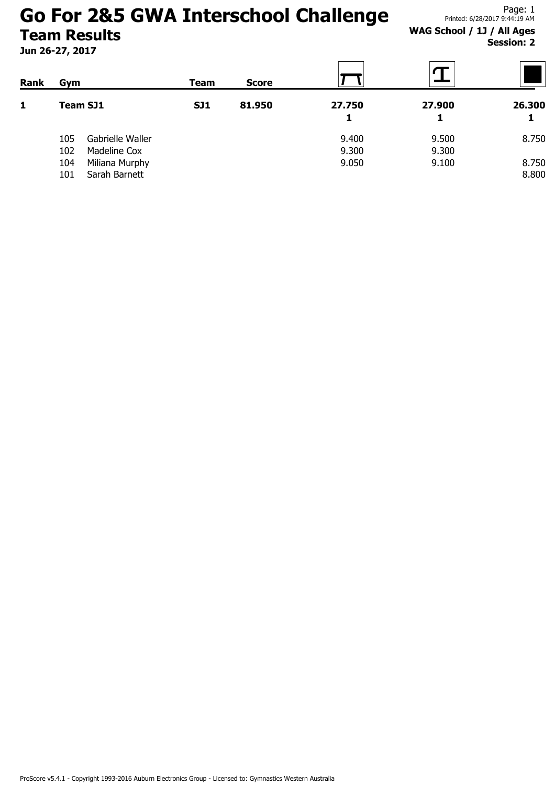Jun 26-27, 2017

Page: 1 Printed: 6/28/2017 9:44:19 AM

### WAG School / 1J / All Ages Session: 2

| Rank | Gym             |                  | Team       | <b>Score</b> |             |        |             |
|------|-----------------|------------------|------------|--------------|-------------|--------|-------------|
| 1    | <b>Team SJ1</b> |                  | <b>SJ1</b> | 81.950       | 27.750<br>1 | 27.900 | 26.300<br>1 |
|      | 105             | Gabrielle Waller |            |              | 9.400       | 9.500  | 8.750       |
|      | 102             | Madeline Cox     |            |              | 9.300       | 9.300  |             |
|      | 104             | Miliana Murphy   |            |              | 9.050       | 9.100  | 8.750       |
|      | 101             | Sarah Barnett    |            |              |             |        | 8.800       |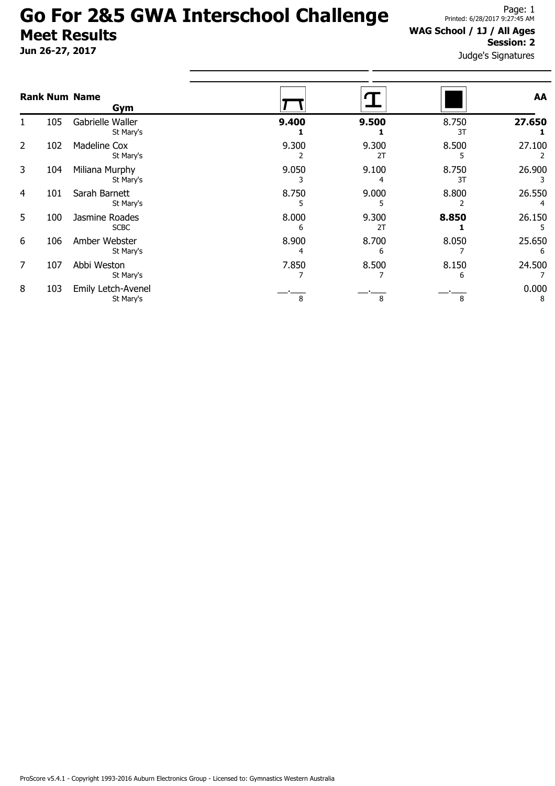Jun 26-27, 2017

#### WAG School / 1J / All Ages Session: 2

|                |     | <b>Rank Num Name</b><br>Gym      |            |             |             | AA          |
|----------------|-----|----------------------------------|------------|-------------|-------------|-------------|
|                | 105 | Gabrielle Waller<br>St Mary's    | 9.400      | 9.500       | 8.750<br>3T | 27.650      |
| $\overline{2}$ | 102 | <b>Madeline Cox</b><br>St Mary's | 9.300      | 9.300<br>2T | 8.500       | 27.100      |
| 3              | 104 | Miliana Murphy<br>St Mary's      | 9.050      | 9.100<br>4  | 8.750<br>3T | 26.900      |
| 4              | 101 | Sarah Barnett<br>St Mary's       | 8.750      | 9.000       | 8.800       | 26.550      |
| 5              | 100 | Jasmine Roades<br><b>SCBC</b>    | 8.000<br>h | 9.300<br>2T | 8.850       | 26.150      |
| 6              | 106 | Amber Webster<br>St Mary's       | 8.900      | 8.700<br>6  | 8.050       | 25.650<br>6 |
| 7              | 107 | Abbi Weston<br>St Mary's         | 7.850      | 8.500       | 8.150<br>6  | 24.500      |
| 8              | 103 | Emily Letch-Avenel<br>St Mary's  | 8          | 8           | 8           | 0.000<br>8  |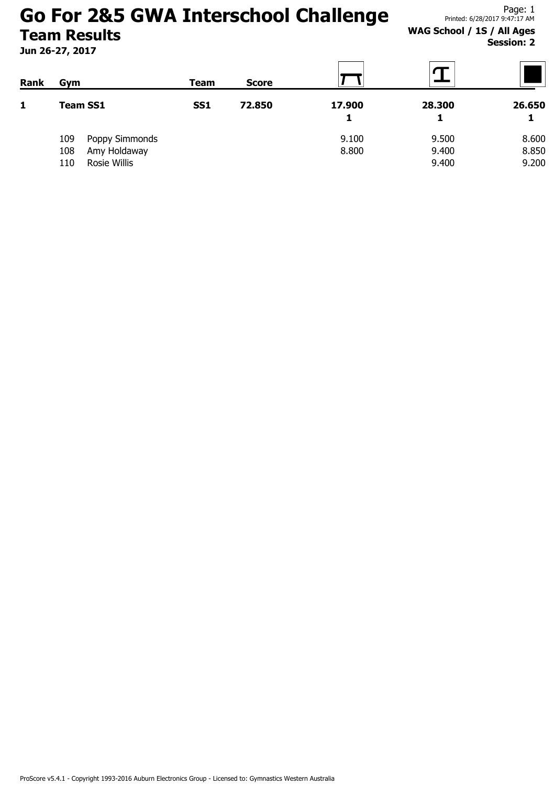Jun 26-27, 2017

### WAG School / 1S / All Ages Session: 2

| Rank | Gym                   | Team       | <b>Score</b> |        |        |        |
|------|-----------------------|------------|--------------|--------|--------|--------|
| 1    | <b>Team SS1</b>       | <b>SS1</b> | 72.850       | 17.900 | 28.300 | 26.650 |
|      |                       |            |              | 1      |        |        |
|      | 109<br>Poppy Simmonds |            |              | 9.100  | 9.500  | 8.600  |
|      | Amy Holdaway<br>108   |            |              | 8.800  | 9.400  | 8.850  |
|      | Rosie Willis<br>110   |            |              |        | 9.400  | 9.200  |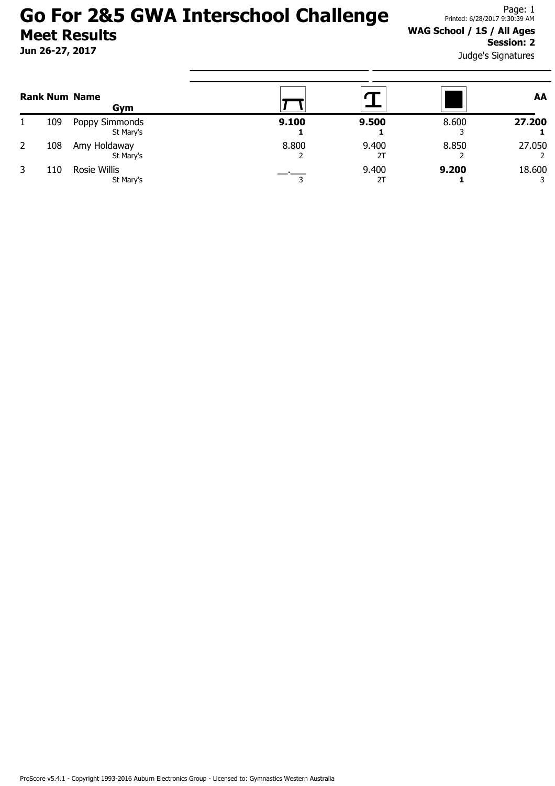Jun 26-27, 2017

#### WAG School / 1S / All Ages Session: 2

|   |     | <b>Rank Num Name</b><br>Gym |       |             |       | AA     |
|---|-----|-----------------------------|-------|-------------|-------|--------|
|   | 109 | Poppy Simmonds<br>St Mary's | 9.100 | 9.500       | 8.600 | 27.200 |
| 2 | 108 | Amy Holdaway<br>St Mary's   | 8.800 | 9.400<br>2T | 8.850 | 27.050 |
|   | 110 | Rosie Willis<br>St Mary's   |       | 9.400       | 9.200 | 18.600 |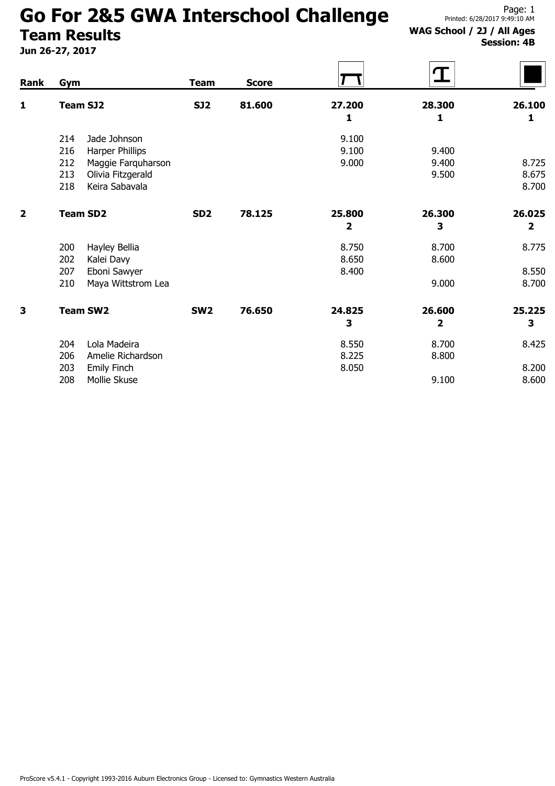# Go For 2&5 GWA Interschool Challenge

## Team Results

Jun 26-27, 2017

#### WAG School / 2J / All Ages Session: 4B

| Rank                    | <b>Gym</b>                                        | <b>Team</b>     | <b>Score</b> |                | $\bigcap$    |                         |
|-------------------------|---------------------------------------------------|-----------------|--------------|----------------|--------------|-------------------------|
| 1                       | <b>Team SJ2</b>                                   | <b>SJ2</b>      | 81.600       | 27.200<br>1    | 28.300<br>1  | 26.100<br>1             |
|                         |                                                   |                 |              |                |              |                         |
|                         | Jade Johnson<br>214<br>216                        |                 |              | 9.100<br>9.100 | 9.400        |                         |
|                         | Harper Phillips                                   |                 |              | 9.000          | 9.400        | 8.725                   |
|                         | 212<br>Maggie Farquharson                         |                 |              |                | 9.500        | 8.675                   |
|                         | 213<br>Olivia Fitzgerald<br>Keira Sabavala<br>218 |                 |              |                |              | 8.700                   |
|                         |                                                   |                 |              |                |              |                         |
| $\overline{\mathbf{2}}$ | <b>Team SD2</b>                                   | SD <sub>2</sub> | 78.125       | 25.800         | 26.300       | 26.025                  |
|                         |                                                   |                 |              | 2              | 3            | $\overline{\mathbf{2}}$ |
|                         | 200<br>Hayley Bellia                              |                 |              | 8.750          | 8.700        | 8.775                   |
|                         | 202<br>Kalei Davy                                 |                 |              | 8.650          | 8.600        |                         |
|                         | 207<br>Eboni Sawyer                               |                 |              | 8.400          |              | 8.550                   |
|                         | 210<br>Maya Wittstrom Lea                         |                 |              |                | 9.000        | 8.700                   |
| 3                       | <b>Team SW2</b>                                   | SW <sub>2</sub> | 76.650       | 24.825         | 26.600       | 25.225                  |
|                         |                                                   |                 |              | 3              | $\mathbf{2}$ | 3                       |
|                         | Lola Madeira<br>204                               |                 |              | 8.550          | 8.700        | 8.425                   |
|                         | 206<br>Amelie Richardson                          |                 |              | 8.225          | 8.800        |                         |
|                         | 203<br>Emily Finch                                |                 |              | 8.050          |              | 8.200                   |
|                         | 208<br>Mollie Skuse                               |                 |              |                | 9.100        | 8.600                   |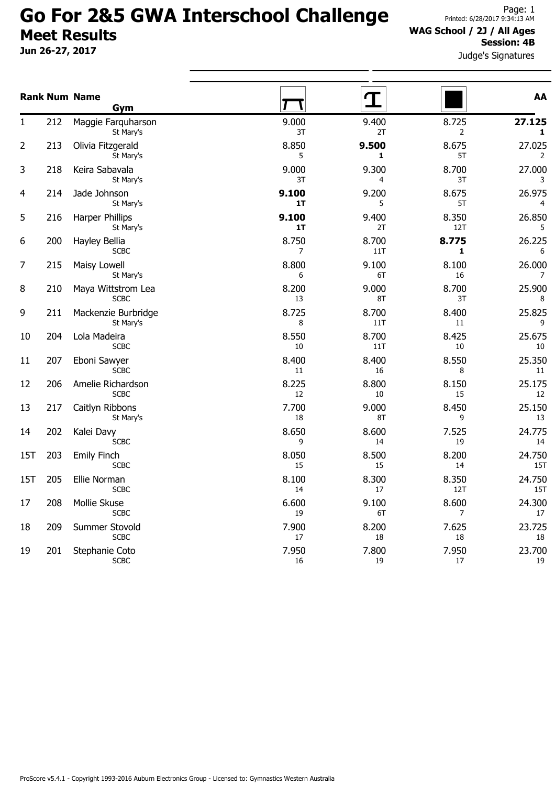Jun 26-27, 2017

#### WAG School / 2J / All Ages Session: 4B

|     |     | <b>Rank Num Name</b><br>Gym        |             | $\bf{T}$     |                         | AA                     |
|-----|-----|------------------------------------|-------------|--------------|-------------------------|------------------------|
| 1   | 212 | Maggie Farquharson<br>St Mary's    | 9.000<br>3T | 9.400<br>2T  | 8.725<br>$\overline{2}$ | 27.125<br>$\mathbf{1}$ |
| 2   | 213 | Olivia Fitzgerald<br>St Mary's     | 8.850<br>5  | 9.500<br>1   | 8.675<br>5T             | 27.025<br>2            |
| 3   | 218 | Keira Sabavala<br>St Mary's        | 9.000<br>3T | 9.300<br>4   | 8.700<br>3T             | 27.000<br>3            |
| 4   | 214 | Jade Johnson<br>St Mary's          | 9.100<br>1T | 9.200<br>5   | 8.675<br>5T             | 26.975<br>4            |
| 5   | 216 | Harper Phillips<br>St Mary's       | 9.100<br>1T | 9.400<br>2T  | 8.350<br>12T            | 26.850<br>5            |
| 6   | 200 | Hayley Bellia<br><b>SCBC</b>       | 8.750<br>7  | 8.700<br>11T | 8.775<br>1              | 26.225<br>6            |
| 7   | 215 | Maisy Lowell<br>St Mary's          | 8.800<br>6  | 9.100<br>6T  | 8.100<br>16             | 26.000<br>7            |
| 8   | 210 | Maya Wittstrom Lea<br><b>SCBC</b>  | 8.200<br>13 | 9.000<br>8T  | 8.700<br>3T             | 25.900<br>8            |
| 9   | 211 | Mackenzie Burbridge<br>St Mary's   | 8.725<br>8  | 8.700<br>11T | 8.400<br>11             | 25.825<br>9            |
| 10  | 204 | Lola Madeira<br><b>SCBC</b>        | 8.550<br>10 | 8.700<br>11T | 8.425<br>10             | 25.675<br>10           |
| 11  | 207 | Eboni Sawyer<br><b>SCBC</b>        | 8.400<br>11 | 8.400<br>16  | 8.550<br>8              | 25.350<br>11           |
| 12  | 206 | Amelie Richardson<br><b>SCBC</b>   | 8.225<br>12 | 8.800<br>10  | 8.150<br>15             | 25.175<br>12           |
| 13  | 217 | Caitlyn Ribbons<br>St Mary's       | 7.700<br>18 | 9.000<br>8T  | 8.450<br>9              | 25.150<br>13           |
| 14  | 202 | Kalei Davy<br><b>SCBC</b>          | 8.650<br>9  | 8.600<br>14  | 7.525<br>19             | 24.775<br>14           |
| 15T | 203 | <b>Emily Finch</b><br><b>SCBC</b>  | 8.050<br>15 | 8.500<br>15  | 8.200<br>14             | 24.750<br>15T          |
| 15T | 205 | Ellie Norman<br><b>SCBC</b>        | 8.100<br>14 | 8.300<br>17  | 8.350<br>12T            | 24.750<br>15T          |
| 17  | 208 | <b>Mollie Skuse</b><br><b>SCBC</b> | 6.600<br>19 | 9.100<br>6T  | 8.600<br>7              | 24.300<br>17           |
| 18  | 209 | Summer Stovold<br><b>SCBC</b>      | 7.900<br>17 | 8.200<br>18  | 7.625<br>18             | 23.725<br>18           |
| 19  | 201 | Stephanie Coto<br><b>SCBC</b>      | 7.950<br>16 | 7.800<br>19  | 7.950<br>17             | 23.700<br>19           |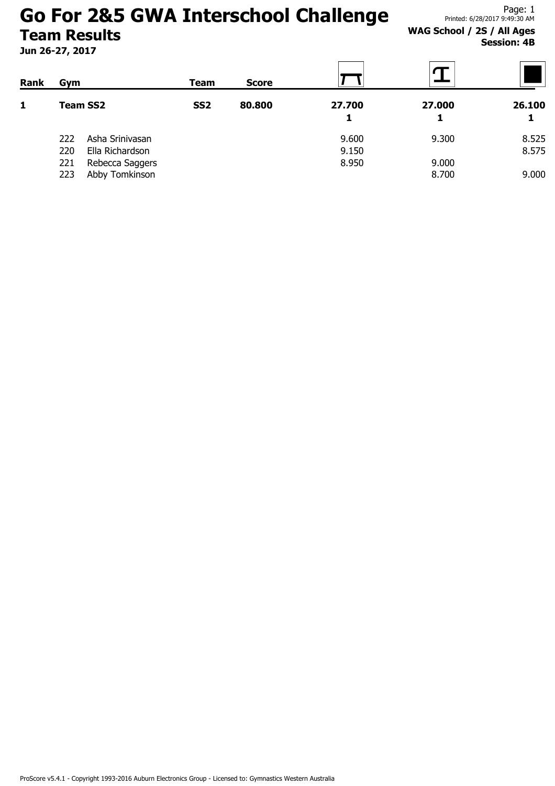Jun 26-27, 2017

WAG School / 2S / All Ages Session: 4B

| Rank | Gym                    | Team            | <b>Score</b> |             |        |        |
|------|------------------------|-----------------|--------------|-------------|--------|--------|
| 1    | <b>Team SS2</b>        | SS <sub>2</sub> | 80.800       | 27.700<br>1 | 27.000 | 26.100 |
|      | Asha Srinivasan<br>222 |                 |              | 9.600       | 9.300  | 8.525  |
|      | 220<br>Ella Richardson |                 |              | 9.150       |        | 8.575  |
|      | 221<br>Rebecca Saggers |                 |              | 8.950       | 9.000  |        |
|      | Abby Tomkinson<br>223  |                 |              |             | 8.700  | 9.000  |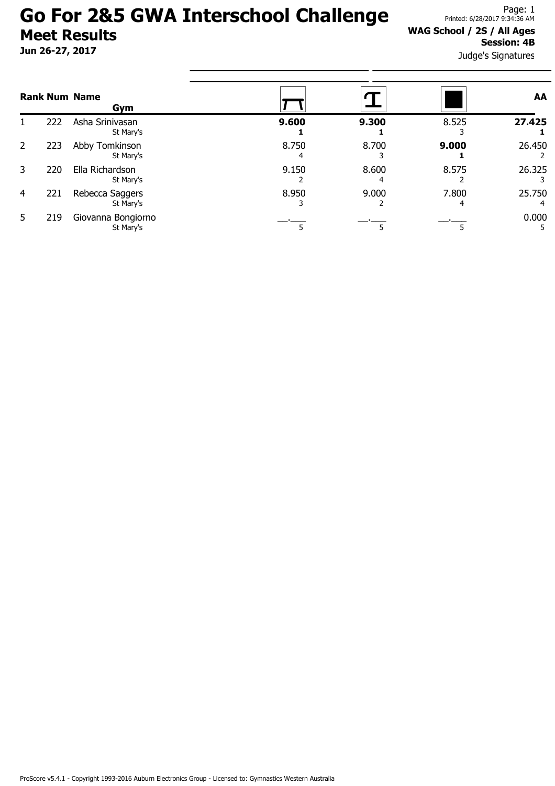Jun 26-27, 2017

#### WAG School / 2S / All Ages Session: 4B

Judge's Signatures

|                |     | <b>Rank Num Name</b><br>Gym     |       |       |            | AA     |
|----------------|-----|---------------------------------|-------|-------|------------|--------|
|                | 222 | Asha Srinivasan<br>St Mary's    | 9.600 | 9.300 | 8.525      | 27.425 |
| 2              | 223 | Abby Tomkinson<br>St Mary's     | 8.750 | 8.700 | 9.000      | 26.450 |
| 3              | 220 | Ella Richardson<br>St Mary's    | 9.150 | 8.600 | 8.575      | 26.325 |
| $\overline{4}$ | 221 | Rebecca Saggers<br>St Mary's    | 8.950 | 9.000 | 7.800<br>4 | 25.750 |
| 5              | 219 | Giovanna Bongiorno<br>St Mary's |       |       |            | 0.000  |

ProScore v5.4.1 - Copyright 1993-2016 Auburn Electronics Group - Licensed to: Gymnastics Western Australia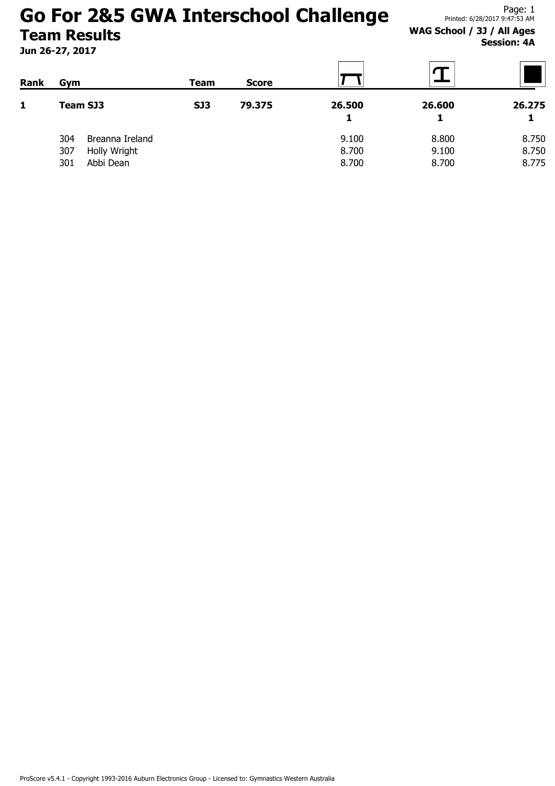Jun 26-27, 2017

#### WAG School / 3J / All Ages Session: 4A

| <b>Rank</b>  | Gym                    | Team       | <b>Score</b> |             |        |        |
|--------------|------------------------|------------|--------------|-------------|--------|--------|
| $\mathbf{1}$ | Team SJ3               | <b>SJ3</b> | 79.375       | 26.500<br>1 | 26.600 | 26.275 |
|              | 304<br>Breanna Ireland |            |              | 9.100       | 8.800  | 8.750  |
|              | Holly Wright<br>307    |            |              | 8.700       | 9.100  | 8.750  |
|              | Abbi Dean<br>301       |            |              | 8.700       | 8.700  | 8.775  |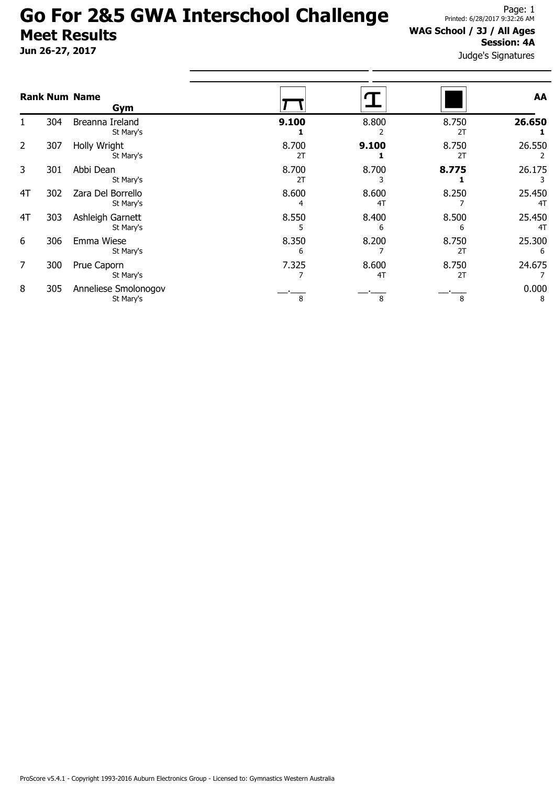Jun 26-27, 2017

#### WAG School / 3J / All Ages Session: 4A

|                |     | <b>Rank Num Name</b><br>Gym       |             |             |             | AA           |
|----------------|-----|-----------------------------------|-------------|-------------|-------------|--------------|
|                | 304 | Breanna Ireland<br>St Mary's      | 9.100       | 8.800       | 8.750<br>2T | 26.650       |
| $\overline{2}$ | 307 | Holly Wright<br>St Mary's         | 8.700<br>2T | 9.100       | 8.750<br>2T | 26.550       |
| 3              | 301 | Abbi Dean<br>St Mary's            | 8.700<br>2T | 8.700       | 8.775       | 26.175       |
| 4T             | 302 | Zara Del Borrello<br>St Mary's    | 8.600       | 8.600<br>4T | 8.250       | 25.450<br>4T |
| 4T             | 303 | Ashleigh Garnett<br>St Mary's     | 8.550       | 8.400<br>6  | 8.500<br>6  | 25.450<br>4T |
| 6              | 306 | Emma Wiese<br>St Mary's           | 8.350<br>6  | 8.200       | 8.750<br>2T | 25.300<br>6  |
| 7              | 300 | Prue Caporn<br>St Mary's          | 7.325       | 8.600<br>4T | 8.750<br>2T | 24.675       |
| 8              | 305 | Anneliese Smolonogov<br>St Mary's | 8           | 8           | 8           | 0.000<br>8   |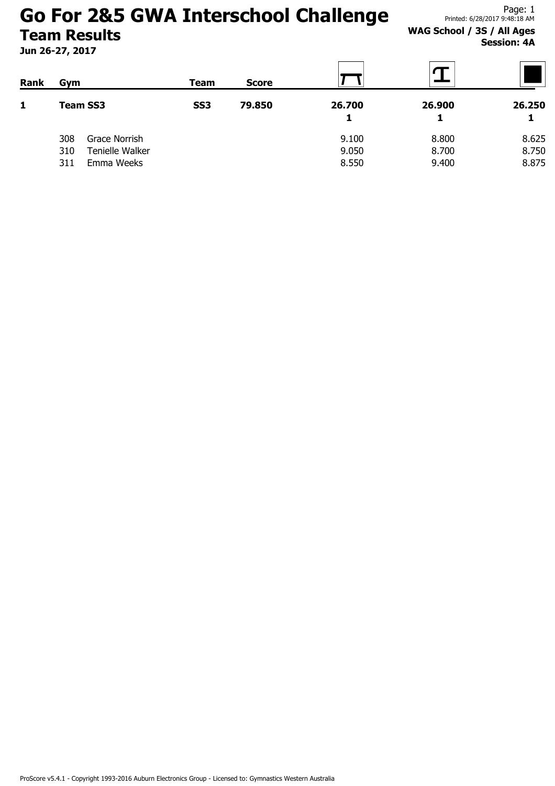Jun 26-27, 2017

Page: 1 Printed: 6/28/2017 9:48:18 AM

WAG School / 3S / All Ages Session: 4A

| <b>Rank</b><br>$\mathbf{1}$ | Gym<br><b>Team SS3</b> |                 | Team            | <b>Score</b> |        |        |        |
|-----------------------------|------------------------|-----------------|-----------------|--------------|--------|--------|--------|
|                             |                        |                 | SS <sub>3</sub> | 79.850       | 26.700 | 26.900 | 26.250 |
|                             |                        |                 |                 |              |        |        |        |
|                             | 308                    | Grace Norrish   |                 |              | 9.100  | 8.800  | 8.625  |
|                             | 310                    | Tenielle Walker |                 |              | 9.050  | 8.700  | 8.750  |
|                             | 311                    | Emma Weeks      |                 |              | 8.550  | 9.400  | 8.875  |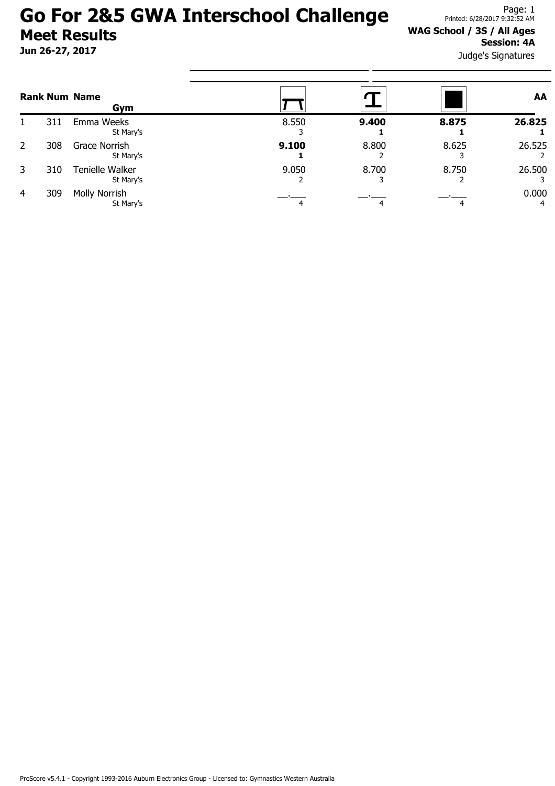Jun 26-27, 2017

#### WAG School / 3S / All Ages Session: 4A

|   |     | <b>Rank Num Name</b><br>Gym  |       |       |       | AA         |
|---|-----|------------------------------|-------|-------|-------|------------|
|   | 311 | Emma Weeks<br>St Mary's      | 8.550 | 9.400 | 8.875 | 26.825     |
| 2 | 308 | Grace Norrish<br>St Mary's   | 9.100 | 8.800 | 8.625 | 26.525     |
| 3 | 310 | Tenielle Walker<br>St Mary's | 9.050 | 8.700 | 8.750 | 26.500     |
| 4 | 309 | Molly Norrish<br>St Mary's   |       |       |       | 0.000<br>4 |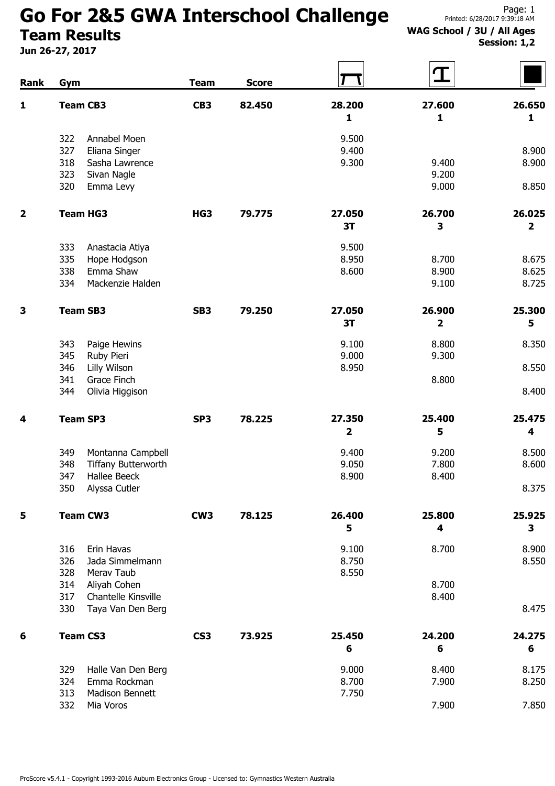# Go For 2&5 GWA Interschool Challenge

Team Results

Jun 26-27, 2017

#### WAG School / 3U / All Ages Session: 1,2

| Rank                    | Gym             |                            | <b>Team</b>     | <b>Score</b> |                         | ${\bf T}$       |        |
|-------------------------|-----------------|----------------------------|-----------------|--------------|-------------------------|-----------------|--------|
| 1                       | <b>Team CB3</b> |                            | CB <sub>3</sub> | 82.450       | 28.200                  | 27.600          | 26.650 |
|                         |                 |                            |                 |              | 1                       | 1               | 1      |
|                         | 322             | Annabel Moen               |                 |              | 9.500                   |                 |        |
|                         | 327             | Eliana Singer              |                 |              | 9.400                   |                 | 8.900  |
|                         | 318             | Sasha Lawrence             |                 |              | 9.300                   | 9.400           | 8.900  |
|                         | 323             | Sivan Nagle                |                 |              |                         | 9.200           |        |
|                         | 320             | Emma Levy                  |                 |              |                         | 9.000           | 8.850  |
| $\overline{\mathbf{2}}$ |                 | <b>Team HG3</b>            | HG3             | 79.775       | 27.050                  | 26.700          | 26.025 |
|                         |                 |                            |                 |              | 3T                      | 3               | 2      |
|                         | 333             | Anastacia Atiya            |                 |              | 9.500                   |                 |        |
|                         | 335             | Hope Hodgson               |                 |              | 8.950                   | 8.700           | 8.675  |
|                         | 338             | Emma Shaw                  |                 |              | 8.600                   | 8.900           | 8.625  |
|                         | 334             | Mackenzie Halden           |                 |              |                         | 9.100           | 8.725  |
| 3                       | <b>Team SB3</b> |                            | SB <sub>3</sub> | 79.250       | 27.050                  | 26.900          | 25.300 |
|                         |                 |                            |                 |              | 3T                      | 2               | 5      |
|                         | 343             | Paige Hewins               |                 |              | 9.100                   | 8.800           | 8.350  |
|                         | 345             | Ruby Pieri                 |                 |              | 9.000                   | 9.300           |        |
|                         | 346             | Lilly Wilson               |                 |              | 8.950                   |                 | 8.550  |
|                         | 341             | Grace Finch                |                 |              |                         | 8.800           |        |
|                         | 344             | Olivia Higgison            |                 |              |                         |                 | 8.400  |
| 4                       | <b>Team SP3</b> |                            | SP <sub>3</sub> | 78.225       | 27.350                  | 25.400          | 25.475 |
|                         |                 |                            |                 |              | $\overline{\mathbf{2}}$ | 5               | 4      |
|                         | 349             | Montanna Campbell          |                 |              | 9.400                   | 9.200           | 8.500  |
|                         | 348             | <b>Tiffany Butterworth</b> |                 |              | 9.050                   | 7.800           | 8.600  |
|                         | 347             | Hallee Beeck               |                 |              | 8.900                   | 8.400           |        |
|                         | 350             | Alyssa Cutler              |                 |              |                         |                 | 8.375  |
| 5                       |                 | <b>Team CW3</b>            | CW <sub>3</sub> | 78.125       | 26.400                  | 25.800          | 25.925 |
|                         |                 |                            |                 |              | 5                       | 4               | 3      |
|                         | 316             | Erin Havas                 |                 |              | 9.100                   | 8.700           | 8.900  |
|                         | 326             | Jada Simmelmann            |                 |              | 8.750                   |                 | 8.550  |
|                         | 328             | Merav Taub                 |                 |              | 8.550                   |                 |        |
|                         | 314             | Aliyah Cohen               |                 |              |                         | 8.700           |        |
|                         | 317             | Chantelle Kinsville        |                 |              |                         | 8.400           |        |
|                         | 330             | Taya Van Den Berg          |                 |              |                         |                 | 8.475  |
| 6                       | <b>Team CS3</b> |                            | CS <sub>3</sub> | 73.925       | 25.450                  | 24.200          | 24.275 |
|                         |                 |                            |                 |              | 6                       | $6\phantom{1}6$ | 6      |
|                         | 329             | Halle Van Den Berg         |                 |              | 9.000                   | 8.400           | 8.175  |
|                         | 324             | Emma Rockman               |                 |              | 8.700                   | 7.900           | 8.250  |
|                         | 313             | Madison Bennett            |                 |              | 7.750                   |                 |        |
|                         | 332             | Mia Voros                  |                 |              |                         | 7.900           | 7.850  |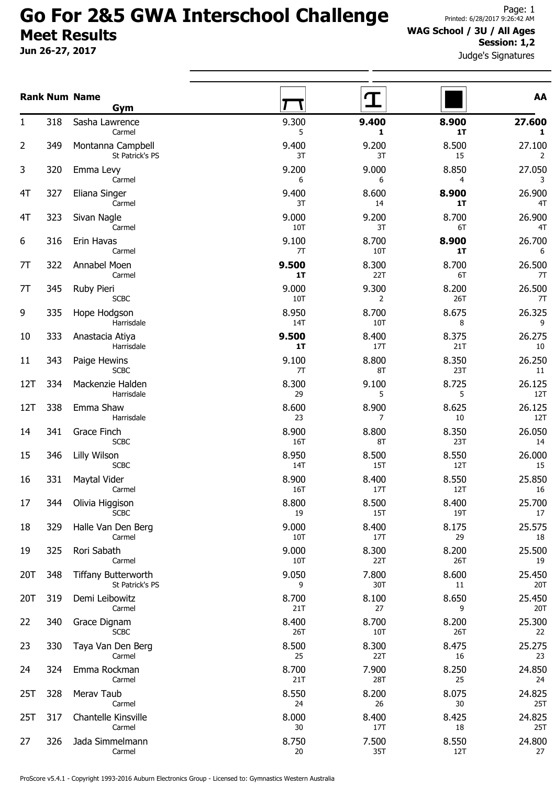Jun 26-27, 2017

#### WAG School / 3U / All Ages Session: 1,2

Judge's Signatures

|     |     | <b>Rank Num Name</b>                           |                  |                  |                   | AA                     |
|-----|-----|------------------------------------------------|------------------|------------------|-------------------|------------------------|
| 1   | 318 | Gym<br>Sasha Lawrence                          | 9.300            | 9.400            | 8.900             | 27.600                 |
| 2   | 349 | Carmel<br>Montanna Campbell<br>St Patrick's PS | 5<br>9.400<br>3T | 1<br>9.200<br>3T | 1T<br>8.500<br>15 | $\mathbf{1}$<br>27.100 |
| 3   | 320 | Emma Levy<br>Carmel                            | 9.200<br>6       | 9.000<br>6       | 8.850<br>4        | 2<br>27.050<br>3       |
| 4T  | 327 | Eliana Singer<br>Carmel                        | 9.400<br>3T      | 8.600<br>14      | 8.900<br>1T       | 26.900<br>4T           |
| 4T  | 323 | Sivan Nagle<br>Carmel                          | 9.000<br>10T     | 9.200<br>3T      | 8.700<br>6T       | 26.900<br>4T           |
| 6   | 316 | Erin Havas<br>Carmel                           | 9.100<br>7T      | 8.700<br>10T     | 8.900<br>1T       | 26.700<br>6            |
| 7T  | 322 | Annabel Moen<br>Carmel                         | 9.500<br>1T      | 8.300<br>22T     | 8.700<br>6T       | 26.500<br>7T           |
| 7T  | 345 | Ruby Pieri<br><b>SCBC</b>                      | 9.000<br>10T     | 9.300<br>2       | 8.200<br>26T      | 26.500<br>7T           |
| 9   | 335 | Hope Hodgson<br>Harrisdale                     | 8.950<br>14T     | 8.700<br>10T     | 8.675<br>8        | 26.325<br>9            |
| 10  | 333 | Anastacia Atiya<br>Harrisdale                  | 9.500<br>1T      | 8.400<br>17T     | 8.375<br>21T      | 26.275<br>$10\,$       |
| 11  | 343 | Paige Hewins<br><b>SCBC</b>                    | 9.100<br>7T      | 8.800<br>8T      | 8.350<br>23T      | 26.250<br>11           |
| 12T | 334 | Mackenzie Halden<br>Harrisdale                 | 8.300<br>29      | 9.100<br>5       | 8.725<br>5        | 26.125<br>12T          |
| 12T | 338 | Emma Shaw<br>Harrisdale                        | 8.600<br>23      | 8.900<br>7       | 8.625<br>10       | 26.125<br>12T          |
| 14  | 341 | Grace Finch<br><b>SCBC</b>                     | 8.900<br>16T     | 8.800<br>8T      | 8.350<br>23T      | 26.050<br>14           |
| 15  | 346 | Lilly Wilson<br><b>SCBC</b>                    | 8.950<br>14T     | 8.500<br>15T     | 8.550<br>12T      | 26.000<br>15           |
| 16  | 331 | Maytal Vider<br>Carmel                         | 8.900<br>16T     | 8.400<br>17T     | 8.550<br>12T      | 25.850<br>16           |
| 17  | 344 | Olivia Higgison<br><b>SCBC</b>                 | 8.800<br>19      | 8.500<br>15T     | 8.400<br>19T      | 25.700<br>17           |
| 18  | 329 | Halle Van Den Berg<br>Carmel                   | 9.000<br>10T     | 8.400<br>17T     | 8.175<br>29       | 25.575<br>18           |
| 19  | 325 | Rori Sabath<br>Carmel                          | 9.000<br>10T     | 8.300<br>22T     | 8.200<br>26T      | 25.500<br>19           |
| 20T | 348 | <b>Tiffany Butterworth</b><br>St Patrick's PS  | 9.050<br>9       | 7.800<br>30T     | 8.600<br>11       | 25.450<br>20T          |
| 20T | 319 | Demi Leibowitz<br>Carmel                       | 8.700<br>21T     | 8.100<br>27      | 8.650<br>9        | 25.450<br>20T          |
| 22  | 340 | Grace Dignam<br><b>SCBC</b>                    | 8.400<br>26T     | 8.700<br>10T     | 8.200<br>26T      | 25.300<br>22           |
| 23  | 330 | Taya Van Den Berg<br>Carmel                    | 8.500<br>25      | 8.300<br>22T     | 8.475<br>16       | 25.275<br>23           |
| 24  | 324 | Emma Rockman<br>Carmel                         | 8.700<br>21T     | 7.900<br>28T     | 8.250<br>25       | 24.850<br>24           |
| 25T | 328 | Merav Taub<br>Carmel                           | 8.550<br>24      | 8.200<br>26      | 8.075<br>30       | 24.825<br>25T          |
| 25T | 317 | Chantelle Kinsville<br>Carmel                  | 8.000<br>30      | 8.400<br>17T     | 8.425<br>18       | 24.825<br>25T          |
| 27  | 326 | Jada Simmelmann<br>Carmel                      | 8.750<br>20      | 7.500<br>35T     | 8.550<br>12T      | 24.800<br>27           |

ProScore v5.4.1 - Copyright 1993-2016 Auburn Electronics Group - Licensed to: Gymnastics Western Australia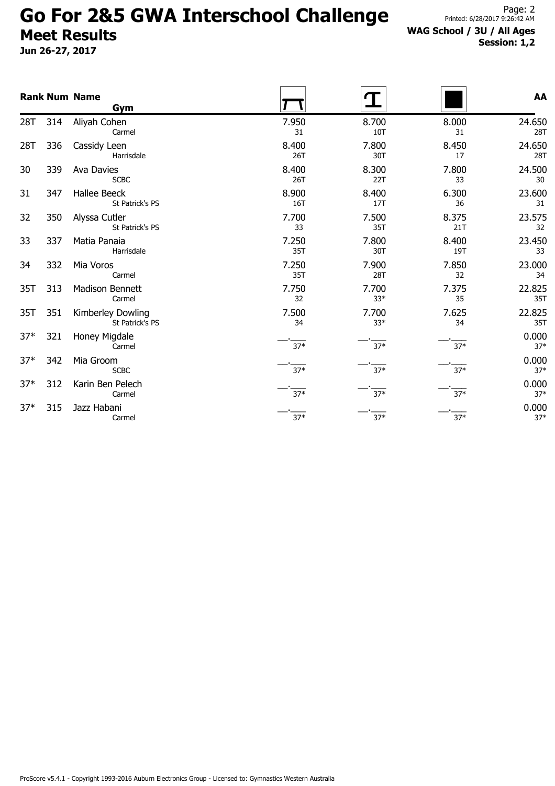Jun 26-27, 2017

### WAG School / 3U / All Ages Session: 1,2

|       |     | <b>Rank Num Name</b><br>Gym            |              |                |              | AA             |
|-------|-----|----------------------------------------|--------------|----------------|--------------|----------------|
| 28T   | 314 | Aliyah Cohen<br>Carmel                 | 7.950<br>31  | 8.700<br>10T   | 8.000<br>31  | 24.650<br>28T  |
| 28T   | 336 | Cassidy Leen<br>Harrisdale             | 8.400<br>26T | 7.800<br>30T   | 8.450<br>17  | 24.650<br>28T  |
| 30    | 339 | Ava Davies<br><b>SCBC</b>              | 8.400<br>26T | 8.300<br>22T   | 7.800<br>33  | 24.500<br>30   |
| 31    | 347 | <b>Hallee Beeck</b><br>St Patrick's PS | 8.900<br>16T | 8.400<br>17T   | 6.300<br>36  | 23.600<br>31   |
| 32    | 350 | Alyssa Cutler<br>St Patrick's PS       | 7.700<br>33  | 7.500<br>35T   | 8.375<br>21T | 23.575<br>32   |
| 33    | 337 | Matia Panaia<br>Harrisdale             | 7.250<br>35T | 7.800<br>30T   | 8.400<br>19T | 23.450<br>33   |
| 34    | 332 | Mia Voros<br>Carmel                    | 7.250<br>35T | 7.900<br>28T   | 7.850<br>32  | 23.000<br>34   |
| 35T   | 313 | Madison Bennett<br>Carmel              | 7.750<br>32  | 7.700<br>$33*$ | 7.375<br>35  | 22.825<br>35T  |
| 35T   | 351 | Kimberley Dowling<br>St Patrick's PS   | 7.500<br>34  | 7.700<br>$33*$ | 7.625<br>34  | 22.825<br>35T  |
| $37*$ | 321 | Honey Migdale<br>Carmel                | $37*$        | $37*$          | $37*$        | 0.000<br>$37*$ |
| $37*$ | 342 | Mia Groom<br><b>SCBC</b>               | $37*$        | $37*$          | $37*$        | 0.000<br>$37*$ |
| $37*$ | 312 | Karin Ben Pelech<br>Carmel             | $37*$        | $37*$          | $37*$        | 0.000<br>$37*$ |
| $37*$ | 315 | Jazz Habani<br>Carmel                  | $37*$        | $37*$          | $37*$        | 0.000<br>$37*$ |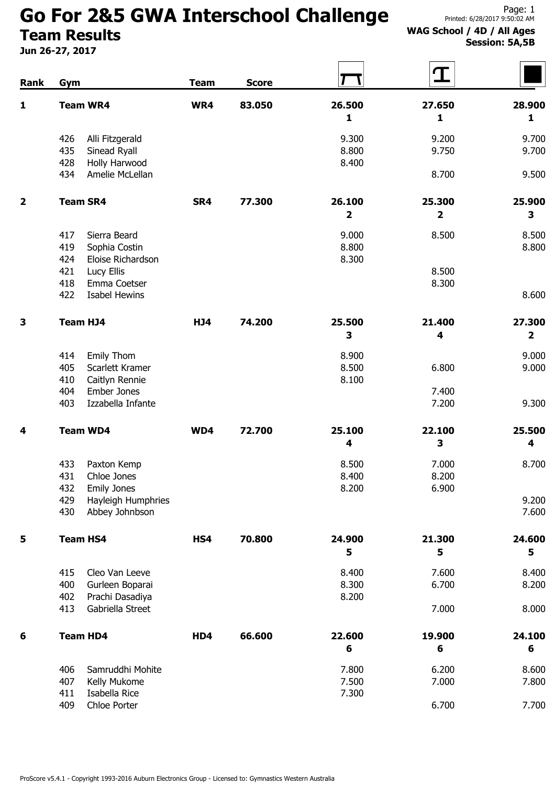# Go For 2&5 GWA Interschool Challenge

Team Results

Jun 26-27, 2017

#### WAG School / 4D / All Ages Session: 5A,5B

| Rank                    | Gym                                                | <b>Team</b> | <b>Score</b> |                         | $\mathbf T$             |                         |
|-------------------------|----------------------------------------------------|-------------|--------------|-------------------------|-------------------------|-------------------------|
| $\mathbf{1}$            | <b>Team WR4</b>                                    | WR4         | 83.050       | 26.500                  | 27.650                  | 28.900                  |
|                         |                                                    |             |              | 1                       | 1                       | $\mathbf{1}$            |
|                         | Alli Fitzgerald<br>426                             |             |              | 9.300                   | 9.200                   | 9.700                   |
|                         | 435<br>Sinead Ryall                                |             |              | 8.800                   | 9.750                   | 9.700                   |
|                         | 428<br>Holly Harwood                               |             |              | 8.400                   |                         |                         |
|                         | 434<br>Amelie McLellan                             |             |              |                         | 8.700                   | 9.500                   |
| $\overline{\mathbf{2}}$ | <b>Team SR4</b>                                    | SR4         | 77.300       | 26.100                  | 25.300                  | 25.900                  |
|                         |                                                    |             |              | $\overline{\mathbf{2}}$ | $\overline{\mathbf{2}}$ | 3                       |
|                         | 417<br>Sierra Beard                                |             |              | 9.000                   | 8.500                   | 8.500                   |
|                         | 419<br>Sophia Costin                               |             |              | 8.800                   |                         | 8.800                   |
|                         | 424<br>Eloise Richardson                           |             |              | 8.300                   |                         |                         |
|                         | 421<br>Lucy Ellis                                  |             |              |                         | 8.500                   |                         |
|                         | 418<br>Emma Coetser<br>422<br><b>Isabel Hewins</b> |             |              |                         | 8.300                   | 8.600                   |
|                         |                                                    |             |              |                         |                         |                         |
| 3                       | <b>Team HJ4</b>                                    | <b>HJ4</b>  | 74.200       | 25.500                  | 21.400                  | 27.300                  |
|                         |                                                    |             |              | 3                       | 4                       | $\overline{\mathbf{2}}$ |
|                         | 414<br><b>Emily Thom</b>                           |             |              | 8.900                   |                         | 9.000                   |
|                         | 405<br>Scarlett Kramer                             |             |              | 8.500                   | 6.800                   | 9.000                   |
|                         | 410<br>Caitlyn Rennie                              |             |              | 8.100                   |                         |                         |
|                         | 404<br>Ember Jones<br>Izzabella Infante<br>403     |             |              |                         | 7.400<br>7.200          | 9.300                   |
|                         |                                                    |             |              |                         |                         |                         |
| 4                       | <b>Team WD4</b>                                    | WD4         | 72.700       | 25.100                  | 22.100                  | 25.500                  |
|                         |                                                    |             |              | 4                       | 3                       | 4                       |
|                         | 433<br>Paxton Kemp                                 |             |              | 8.500                   | 7.000                   | 8.700                   |
|                         | 431<br>Chloe Jones                                 |             |              | 8.400                   | 8.200                   |                         |
|                         | 432<br><b>Emily Jones</b>                          |             |              | 8.200                   | 6.900                   |                         |
|                         | 429<br>Hayleigh Humphries                          |             |              |                         |                         | 9.200<br>7.600          |
|                         | 430<br>Abbey Johnbson                              |             |              |                         |                         |                         |
| 5                       | <b>Team HS4</b>                                    | HS4         | 70.800       | 24.900                  | 21.300                  | 24.600                  |
|                         |                                                    |             |              | 5                       | 5                       | 5                       |
|                         | 415<br>Cleo Van Leeve                              |             |              | 8.400                   | 7.600                   | 8.400                   |
|                         | 400<br>Gurleen Boparai                             |             |              | 8.300                   | 6.700                   | 8.200                   |
|                         | 402<br>Prachi Dasadiya                             |             |              | 8.200                   |                         |                         |
|                         | 413<br>Gabriella Street                            |             |              |                         | 7.000                   | 8.000                   |
| 6                       | <b>Team HD4</b>                                    | HD4         | 66.600       | 22.600                  | 19.900                  | 24.100                  |
|                         |                                                    |             |              | 6                       | 6                       | 6                       |
|                         | 406<br>Samruddhi Mohite                            |             |              | 7.800                   | 6.200                   | 8.600                   |
|                         | 407<br>Kelly Mukome                                |             |              | 7.500                   | 7.000                   | 7.800                   |
|                         | 411<br>Isabella Rice                               |             |              | 7.300                   |                         |                         |
|                         | 409<br>Chloe Porter                                |             |              |                         | 6.700                   | 7.700                   |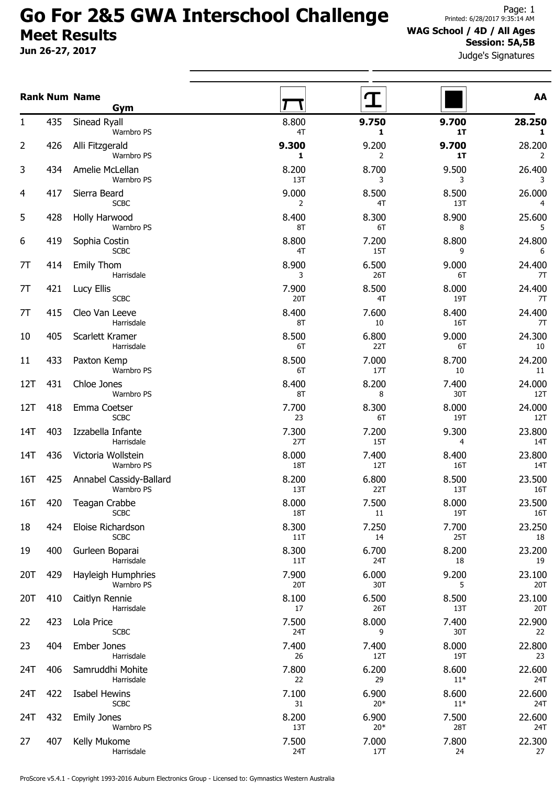Jun 26-27, 2017

#### WAG School / 4D / All Ages Session: 5A,5B

Judge's Signatures

|       |     | <b>Rank Num Name</b><br><b>Gym</b>    |                     |                |                | AA                       |
|-------|-----|---------------------------------------|---------------------|----------------|----------------|--------------------------|
| 1     | 435 | Sinead Ryall<br>Warnbro PS            | 8.800<br>4T         | 9.750<br>1     | 9.700<br>1T    | 28.250<br>1              |
| 2     | 426 | Alli Fitzgerald<br>Warnbro PS         | 9.300<br>1          | 9.200<br>2     | 9.700<br>1T    | 28.200<br>$\overline{2}$ |
| 3     | 434 | Amelie McLellan<br>Warnbro PS         | 8.200<br>13T        | 8.700<br>3     | 9.500<br>3     | 26.400<br>3              |
| 4     | 417 | Sierra Beard<br><b>SCBC</b>           | 9.000<br>2          | 8.500<br>4T    | 8.500<br>13T   | 26.000<br>4              |
| 5     | 428 | Holly Harwood<br>Warnbro PS           | 8.400<br>8T         | 8.300<br>6T    | 8.900<br>8     | 25.600<br>5              |
| 6     | 419 | Sophia Costin<br><b>SCBC</b>          | 8.800<br>4T         | 7.200<br>15T   | 8.800<br>9     | 24.800<br>6              |
| 7T    | 414 | <b>Emily Thom</b><br>Harrisdale       | 8.900<br>3          | 6.500<br>26T   | 9.000<br>6T    | 24.400<br>7T             |
| 7T    | 421 | Lucy Ellis<br><b>SCBC</b>             | 7.900<br>20T        | 8.500<br>4T    | 8.000<br>19T   | 24.400<br>7T             |
| 7T    | 415 | Cleo Van Leeve<br>Harrisdale          | 8.400<br>8T         | 7.600<br>10    | 8.400<br>16T   | 24.400<br>7T             |
| 10    | 405 | Scarlett Kramer<br>Harrisdale         | 8.500<br>6T         | 6.800<br>22T   | 9.000<br>6T    | 24.300<br>10             |
| 11    | 433 | Paxton Kemp<br>Warnbro PS             | 8.500<br>6T         | 7.000<br>17T   | 8.700<br>10    | 24.200<br>11             |
| 12T   | 431 | Chloe Jones<br>Warnbro PS             | 8.400<br>8T         | 8.200<br>8     | 7.400<br>30T   | 24.000<br>12T            |
| 12T   | 418 | Emma Coetser<br><b>SCBC</b>           | 7.700<br>23         | 8.300<br>6T    | 8.000<br>19T   | 24.000<br>12T            |
| 14T   | 403 | Izzabella Infante<br>Harrisdale       | 7.300<br>27T        | 7.200<br>15T   | 9.300<br>4     | 23.800<br>14T            |
| 14T   | 436 | Victoria Wollstein<br>Warnbro PS      | 8.000<br><b>18T</b> | 7.400<br>12T   | 8.400<br>16T   | 23.800<br>14T            |
| 16T   | 425 | Annabel Cassidy-Ballard<br>Warnbro PS | 8.200<br>13T        | 6.800<br>22T   | 8.500<br>13T   | 23.500<br>16T            |
| 16T - | 420 | Teagan Crabbe<br><b>SCBC</b>          | 8.000<br>18T        | 7.500<br>11    | 8.000<br>19T   | 23,500<br>16T            |
| 18    | 424 | Eloise Richardson<br><b>SCBC</b>      | 8.300<br>11T        | 7.250<br>14    | 7.700<br>25T   | 23.250<br>18             |
| 19    | 400 | Gurleen Boparai<br>Harrisdale         | 8.300<br>11T        | 6.700<br>24T   | 8.200<br>18    | 23.200<br>19             |
| 20T   | 429 | Hayleigh Humphries<br>Warnbro PS      | 7.900<br><b>20T</b> | 6.000<br>30T   | 9.200<br>5     | 23.100<br>20T            |
| 20T   | 410 | Caitlyn Rennie<br>Harrisdale          | 8.100<br>17         | 6.500<br>26T   | 8.500<br>13T   | 23.100<br>20T            |
| 22    | 423 | Lola Price<br><b>SCBC</b>             | 7.500<br>24T        | 8.000<br>9     | 7.400<br>30T   | 22.900<br>22             |
| 23    | 404 | <b>Ember Jones</b><br>Harrisdale      | 7.400<br>26         | 7.400<br>12T   | 8.000<br>19T   | 22.800<br>23             |
| 24T   | 406 | Samruddhi Mohite<br>Harrisdale        | 7.800<br>22         | 6.200<br>29    | 8.600<br>$11*$ | 22.600<br>24T            |
| 24T   | 422 | <b>Isabel Hewins</b><br><b>SCBC</b>   | 7.100<br>31         | 6.900<br>$20*$ | 8.600<br>$11*$ | 22.600<br>24T            |
| 24T   | 432 | <b>Emily Jones</b><br>Warnbro PS      | 8.200<br>13T        | 6.900<br>$20*$ | 7.500<br>28T   | 22.600<br>24T            |
| 27    | 407 | Kelly Mukome<br>Harrisdale            | 7.500<br>24T        | 7.000<br>17T   | 7.800<br>24    | 22.300<br>27             |

ProScore v5.4.1 - Copyright 1993-2016 Auburn Electronics Group - Licensed to: Gymnastics Western Australia